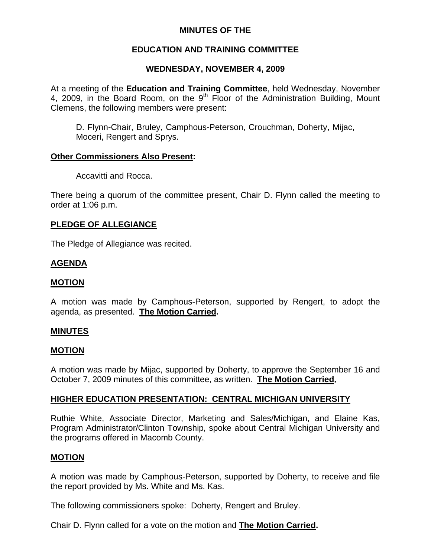# **MINUTES OF THE**

# **EDUCATION AND TRAINING COMMITTEE**

# **WEDNESDAY, NOVEMBER 4, 2009**

At a meeting of the **Education and Training Committee**, held Wednesday, November 4, 2009, in the Board Room, on the  $9<sup>th</sup>$  Floor of the Administration Building, Mount Clemens, the following members were present:

D. Flynn-Chair, Bruley, Camphous-Peterson, Crouchman, Doherty, Mijac, Moceri, Rengert and Sprys.

## **Other Commissioners Also Present:**

Accavitti and Rocca.

There being a quorum of the committee present, Chair D. Flynn called the meeting to order at 1:06 p.m.

### **PLEDGE OF ALLEGIANCE**

The Pledge of Allegiance was recited.

## **AGENDA**

### **MOTION**

A motion was made by Camphous-Peterson, supported by Rengert, to adopt the agenda, as presented. **The Motion Carried.** 

#### **MINUTES**

#### **MOTION**

A motion was made by Mijac, supported by Doherty, to approve the September 16 and October 7, 2009 minutes of this committee, as written. **The Motion Carried.** 

## **HIGHER EDUCATION PRESENTATION: CENTRAL MICHIGAN UNIVERSITY**

Ruthie White, Associate Director, Marketing and Sales/Michigan, and Elaine Kas, Program Administrator/Clinton Township, spoke about Central Michigan University and the programs offered in Macomb County.

#### **MOTION**

A motion was made by Camphous-Peterson, supported by Doherty, to receive and file the report provided by Ms. White and Ms. Kas.

The following commissioners spoke: Doherty, Rengert and Bruley.

Chair D. Flynn called for a vote on the motion and **The Motion Carried.**